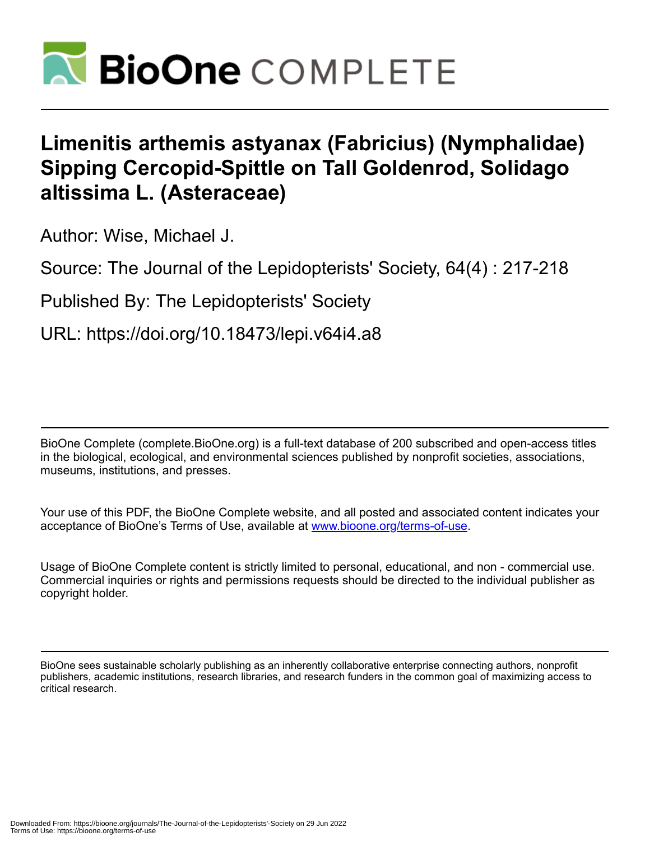

## **Limenitis arthemis astyanax (Fabricius) (Nymphalidae) Sipping Cercopid-Spittle on Tall Goldenrod, Solidago altissima L. (Asteraceae)**

Author: Wise, Michael J.

Source: The Journal of the Lepidopterists' Society, 64(4) : 217-218

Published By: The Lepidopterists' Society

URL: https://doi.org/10.18473/lepi.v64i4.a8

BioOne Complete (complete.BioOne.org) is a full-text database of 200 subscribed and open-access titles in the biological, ecological, and environmental sciences published by nonprofit societies, associations, museums, institutions, and presses.

Your use of this PDF, the BioOne Complete website, and all posted and associated content indicates your acceptance of BioOne's Terms of Use, available at www.bioone.org/terms-of-use.

Usage of BioOne Complete content is strictly limited to personal, educational, and non - commercial use. Commercial inquiries or rights and permissions requests should be directed to the individual publisher as copyright holder.

BioOne sees sustainable scholarly publishing as an inherently collaborative enterprise connecting authors, nonprofit publishers, academic institutions, research libraries, and research funders in the common goal of maximizing access to critical research.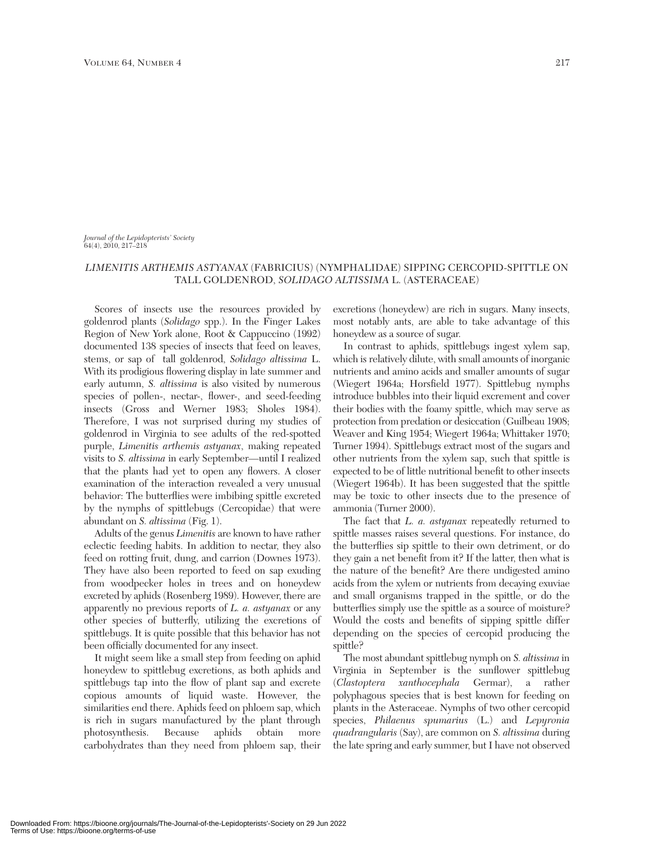*Journal of the Lepidopterists' Society*  $64(4)$ , 2010, 217-218

## *LIMENITIS ARTHEMIS ASTYANAX* (FABRICIUS) (NYMPHALIDAE) SIPPING CERCOPID-SPITTLE ON TALL GOLDENROD, *SOLIDAGO ALTISSIMA* L. (ASTERACEAE)

Scores of insects use the resources provided by goldenrod plants (*Solidago* spp.). In the Finger Lakes Region of New York alone, Root & Cappuccino (1992) documented 138 species of insects that feed on leaves, stems, or sap of tall goldenrod, *Solidago altissima* L. With its prodigious flowering display in late summer and early autumn, *S. altissima* is also visited by numerous species of pollen-, nectar-, flower-, and seed-feeding insects (Gross and Werner 1983; Sholes 1984). Therefore, I was not surprised during my studies of goldenrod in Virginia to see adults of the red-spotted purple, *Limenitis arthemis astyanax*, making repeated visits to *S. altissima* in early September—until I realized that the plants had yet to open any flowers. A closer examination of the interaction revealed a very unusual behavior: The butterflies were imbibing spittle excreted by the nymphs of spittlebugs (Cercopidae) that were abundant on *S. altissima* (Fig. 1).

Adults of the genus *Limenitis* are known to have rather eclectic feeding habits. In addition to nectar, they also feed on rotting fruit, dung, and carrion (Downes 1973). They have also been reported to feed on sap exuding from woodpecker holes in trees and on honeydew excreted by aphids (Rosenberg 1989). However, there are apparently no previous reports of *L. a. astyanax* or any other species of butterfly, utilizing the excretions of spittlebugs. It is quite possible that this behavior has not been officially documented for any insect.

It might seem like a small step from feeding on aphid honeydew to spittlebug excretions, as both aphids and spittlebugs tap into the flow of plant sap and excrete copious amounts of liquid waste. However, the similarities end there. Aphids feed on phloem sap, which is rich in sugars manufactured by the plant through photosynthesis. Because aphids obtain more carbohydrates than they need from phloem sap, their

excretions (honeydew) are rich in sugars. Many insects, most notably ants, are able to take advantage of this honeydew as a source of sugar.

In contrast to aphids, spittlebugs ingest xylem sap, which is relatively dilute, with small amounts of inorganic nutrients and amino acids and smaller amounts of sugar (Wiegert 1964a; Horsfield 1977). Spittlebug nymphs introduce bubbles into their liquid excrement and cover their bodies with the foamy spittle, which may serve as protection from predation or desiccation (Guilbeau 1908; Weaver and King 1954; Wiegert 1964a; Whittaker 1970; Turner 1994). Spittlebugs extract most of the sugars and other nutrients from the xylem sap, such that spittle is expected to be of little nutritional benefit to other insects (Wiegert 1964b). It has been suggested that the spittle may be toxic to other insects due to the presence of ammonia (Turner 2000).

The fact that *L. a. astyanax* repeatedly returned to spittle masses raises several questions. For instance, do the butterflies sip spittle to their own detriment, or do they gain a net benefit from it? If the latter, then what is the nature of the benefit? Are there undigested amino acids from the xylem or nutrients from decaying exuviae and small organisms trapped in the spittle, or do the butterflies simply use the spittle as a source of moisture? Would the costs and benefits of sipping spittle differ depending on the species of cercopid producing the spittle?

The most abundant spittlebug nymph on *S. altissima* in Virginia in September is the sunflower spittlebug (*Clastoptera xanthocephala* Germar), a rather polyphagous species that is best known for feeding on plants in the Asteraceae. Nymphs of two other cercopid species, *Philaenus spumarius* (L.) and *Lepyronia quadrangularis* (Say), are common on *S. altissima* during the late spring and early summer, but I have not observed